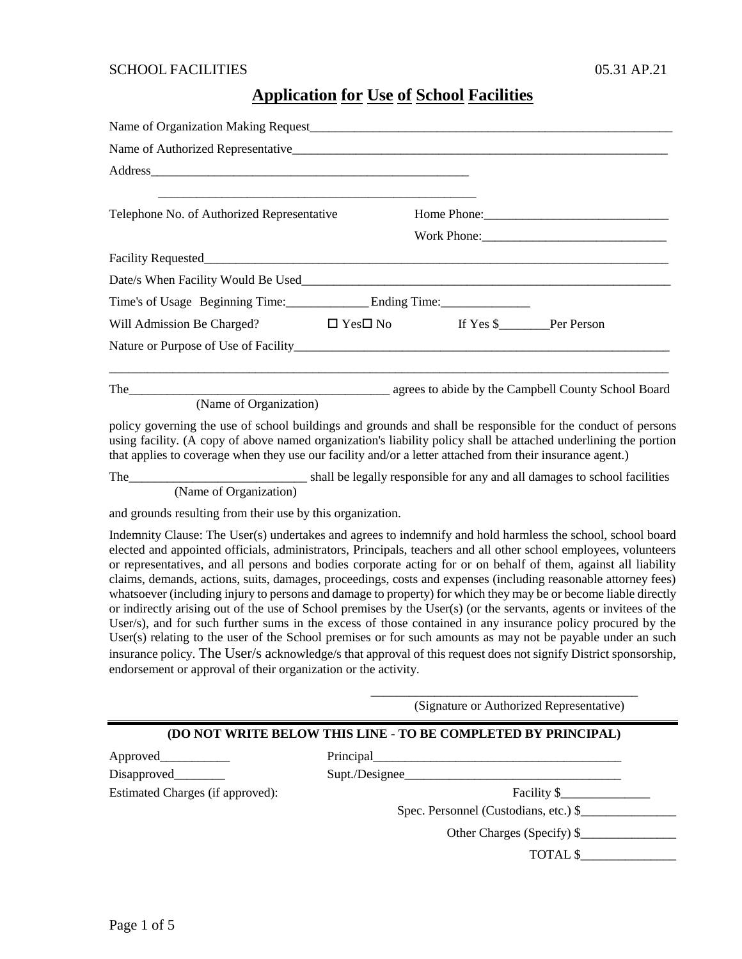### **Application for Use of School Facilities**

| Telephone No. of Authorized Representative                                        |  |  |  |  |  |  |  |  |
|-----------------------------------------------------------------------------------|--|--|--|--|--|--|--|--|
|                                                                                   |  |  |  |  |  |  |  |  |
|                                                                                   |  |  |  |  |  |  |  |  |
|                                                                                   |  |  |  |  |  |  |  |  |
|                                                                                   |  |  |  |  |  |  |  |  |
| Will Admission Be Charged? $\square$ Yes $\square$ No If Yes \$_______ Per Person |  |  |  |  |  |  |  |  |
|                                                                                   |  |  |  |  |  |  |  |  |
| The and the campbell County School Board                                          |  |  |  |  |  |  |  |  |
| (Name of Organization)                                                            |  |  |  |  |  |  |  |  |

policy governing the use of school buildings and grounds and shall be responsible for the conduct of persons using facility. (A copy of above named organization's liability policy shall be attached underlining the portion that applies to coverage when they use our facility and/or a letter attached from their insurance agent.)

The\_\_\_\_\_\_\_\_\_\_\_\_\_\_\_\_\_\_\_\_\_\_\_\_\_\_\_\_ shall be legally responsible for any and all damages to school facilities (Name of Organization)

and grounds resulting from their use by this organization.

Indemnity Clause: The User(s) undertakes and agrees to indemnify and hold harmless the school, school board elected and appointed officials, administrators, Principals, teachers and all other school employees, volunteers or representatives, and all persons and bodies corporate acting for or on behalf of them, against all liability claims, demands, actions, suits, damages, proceedings, costs and expenses (including reasonable attorney fees) whatsoever (including injury to persons and damage to property) for which they may be or become liable directly or indirectly arising out of the use of School premises by the User(s) (or the servants, agents or invitees of the User/s), and for such further sums in the excess of those contained in any insurance policy procured by the User(s) relating to the user of the School premises or for such amounts as may not be payable under an such insurance policy. The User/s acknowledge/s that approval of this request does not signify District sponsorship, endorsement or approval of their organization or the activity.

(Signature or Authorized Representative)

\_\_\_\_\_\_\_\_\_\_\_\_\_\_\_\_\_\_\_\_\_\_\_\_\_\_\_\_\_\_\_\_\_\_\_\_\_\_\_\_\_\_

#### **(DO NOT WRITE BELOW THIS LINE - TO BE COMPLETED BY PRINCIPAL)**

| Approved                         | Principal                             |  |
|----------------------------------|---------------------------------------|--|
| Disapproved_______               | Supt./Designee                        |  |
| Estimated Charges (if approved): | Facility S                            |  |
|                                  | Spec. Personnel (Custodians, etc.) \$ |  |
|                                  | Other Charges (Specify) \$_           |  |

TOTAL \$\_\_\_\_\_\_\_\_\_\_\_\_\_\_\_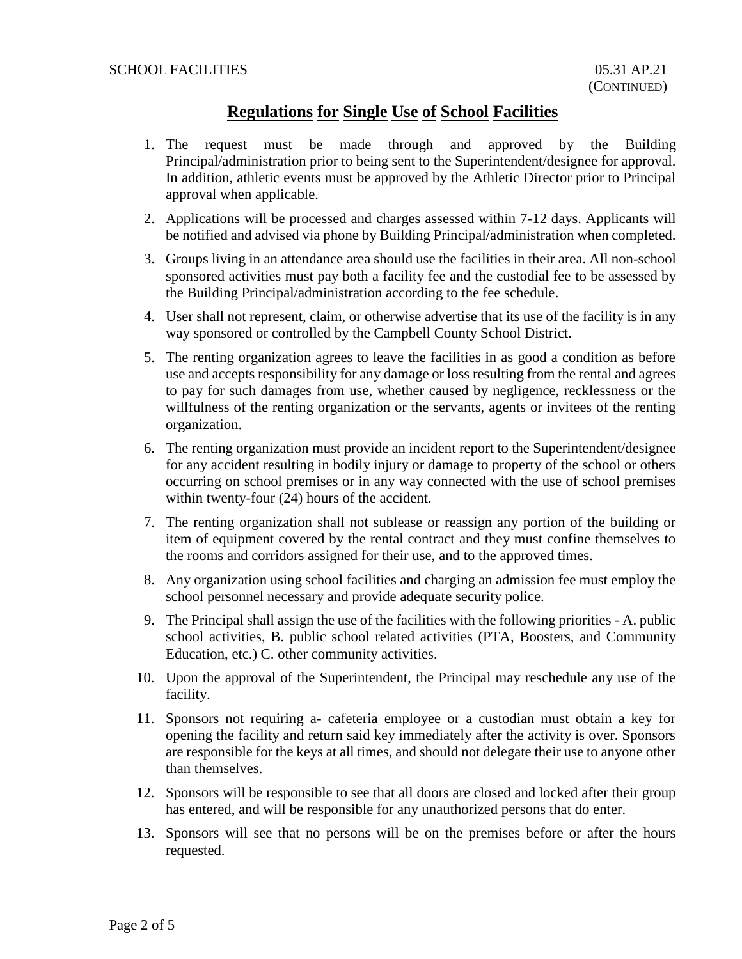### **Regulations for Single Use of School Facilities**

- 1. The request must be made through and approved by the Building Principal/administration prior to being sent to the Superintendent/designee for approval. In addition, athletic events must be approved by the Athletic Director prior to Principal approval when applicable.
- 2. Applications will be processed and charges assessed within 7-12 days. Applicants will be notified and advised via phone by Building Principal/administration when completed.
- 3. Groups living in an attendance area should use the facilities in their area. All non-school sponsored activities must pay both a facility fee and the custodial fee to be assessed by the Building Principal/administration according to the fee schedule.
- 4. User shall not represent, claim, or otherwise advertise that its use of the facility is in any way sponsored or controlled by the Campbell County School District.
- 5. The renting organization agrees to leave the facilities in as good a condition as before use and accepts responsibility for any damage or loss resulting from the rental and agrees to pay for such damages from use, whether caused by negligence, recklessness or the willfulness of the renting organization or the servants, agents or invitees of the renting organization.
- 6. The renting organization must provide an incident report to the Superintendent/designee for any accident resulting in bodily injury or damage to property of the school or others occurring on school premises or in any way connected with the use of school premises within twenty-four (24) hours of the accident.
- 7. The renting organization shall not sublease or reassign any portion of the building or item of equipment covered by the rental contract and they must confine themselves to the rooms and corridors assigned for their use, and to the approved times.
- 8. Any organization using school facilities and charging an admission fee must employ the school personnel necessary and provide adequate security police.
- 9. The Principal shall assign the use of the facilities with the following priorities A. public school activities, B. public school related activities (PTA, Boosters, and Community Education, etc.) C. other community activities.
- 10. Upon the approval of the Superintendent, the Principal may reschedule any use of the facility.
- 11. Sponsors not requiring a- cafeteria employee or a custodian must obtain a key for opening the facility and return said key immediately after the activity is over. Sponsors are responsible for the keys at all times, and should not delegate their use to anyone other than themselves.
- 12. Sponsors will be responsible to see that all doors are closed and locked after their group has entered, and will be responsible for any unauthorized persons that do enter.
- 13. Sponsors will see that no persons will be on the premises before or after the hours requested.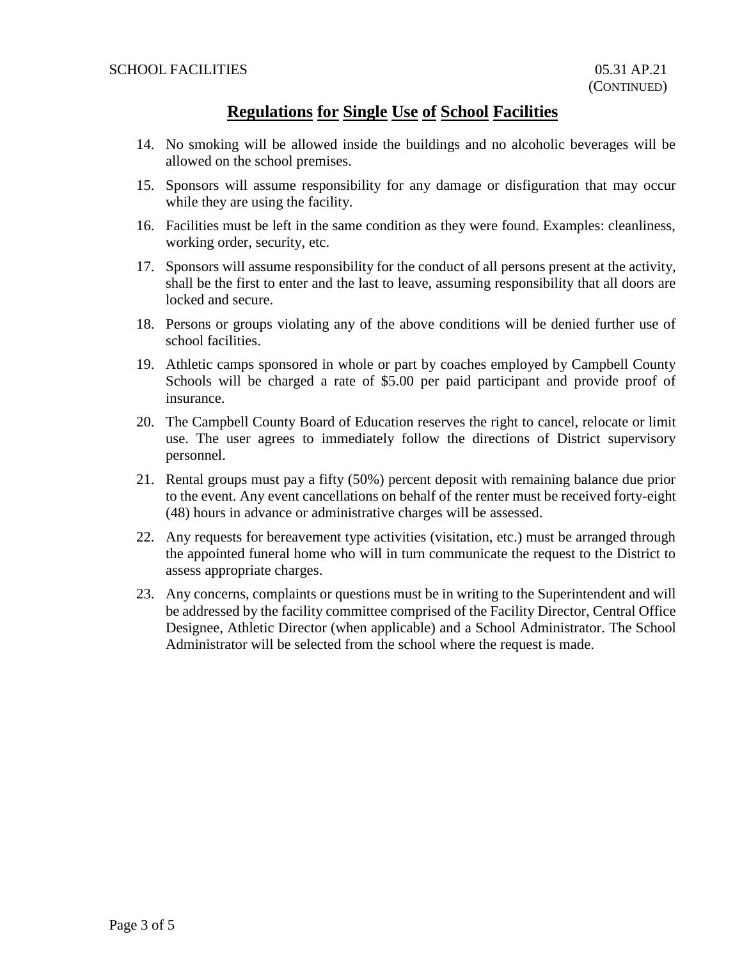### **Regulations for Single Use of School Facilities**

- 14. No smoking will be allowed inside the buildings and no alcoholic beverages will be allowed on the school premises.
- 15. Sponsors will assume responsibility for any damage or disfiguration that may occur while they are using the facility.
- 16. Facilities must be left in the same condition as they were found. Examples: cleanliness, working order, security, etc.
- 17. Sponsors will assume responsibility for the conduct of all persons present at the activity, shall be the first to enter and the last to leave, assuming responsibility that all doors are locked and secure.
- 18. Persons or groups violating any of the above conditions will be denied further use of school facilities.
- 19. Athletic camps sponsored in whole or part by coaches employed by Campbell County Schools will be charged a rate of \$5.00 per paid participant and provide proof of insurance.
- 20. The Campbell County Board of Education reserves the right to cancel, relocate or limit use. The user agrees to immediately follow the directions of District supervisory personnel.
- 21. Rental groups must pay a fifty (50%) percent deposit with remaining balance due prior to the event. Any event cancellations on behalf of the renter must be received forty-eight (48) hours in advance or administrative charges will be assessed.
- 22. Any requests for bereavement type activities (visitation, etc.) must be arranged through the appointed funeral home who will in turn communicate the request to the District to assess appropriate charges.
- 23. Any concerns, complaints or questions must be in writing to the Superintendent and will be addressed by the facility committee comprised of the Facility Director, Central Office Designee, Athletic Director (when applicable) and a School Administrator. The School Administrator will be selected from the school where the request is made.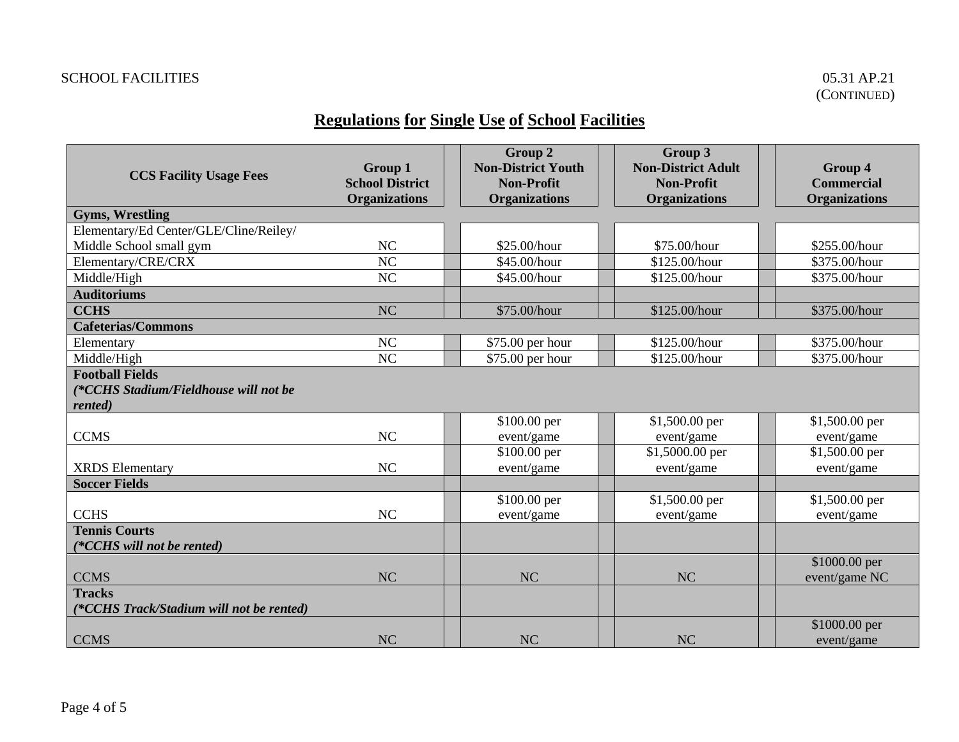# **Regulations for Single Use of School Facilities**

|                                          | <b>Group 1</b>         | Group 2<br><b>Non-District Youth</b> | Group 3<br><b>Non-District Adult</b> | Group 4              |
|------------------------------------------|------------------------|--------------------------------------|--------------------------------------|----------------------|
| <b>CCS Facility Usage Fees</b>           | <b>School District</b> | <b>Non-Profit</b>                    | <b>Non-Profit</b>                    | <b>Commercial</b>    |
|                                          | <b>Organizations</b>   | <b>Organizations</b>                 | <b>Organizations</b>                 | <b>Organizations</b> |
| <b>Gyms, Wrestling</b>                   |                        |                                      |                                      |                      |
| Elementary/Ed Center/GLE/Cline/Reiley/   |                        |                                      |                                      |                      |
| Middle School small gym                  | NC                     | \$25.00/hour                         | \$75.00/hour                         | \$255.00/hour        |
| Elementary/CRE/CRX                       | NC                     | \$45.00/hour                         | \$125.00/hour                        | \$375.00/hour        |
| Middle/High                              | <b>NC</b>              | \$45.00/hour                         | \$125.00/hour                        | \$375.00/hour        |
| <b>Auditoriums</b>                       |                        |                                      |                                      |                      |
| <b>CCHS</b>                              | <b>NC</b>              | \$75.00/hour                         | \$125.00/hour                        | \$375.00/hour        |
| <b>Cafeterias/Commons</b>                |                        |                                      |                                      |                      |
| Elementary                               | NC                     | \$75.00 per hour                     | \$125.00/hour                        | \$375.00/hour        |
| Middle/High                              | NC                     | \$75.00 per hour                     | \$125.00/hour                        | \$375.00/hour        |
| <b>Football Fields</b>                   |                        |                                      |                                      |                      |
| (*CCHS Stadium/Fieldhouse will not be    |                        |                                      |                                      |                      |
| rented)                                  |                        |                                      |                                      |                      |
|                                          |                        | \$100.00 per                         | \$1,500.00 per                       | \$1,500.00 per       |
| <b>CCMS</b>                              | NC                     | event/game                           | event/game                           | event/game           |
|                                          |                        | \$100.00 per                         | \$1,5000.00 per                      | \$1,500.00 per       |
| <b>XRDS</b> Elementary                   | NC                     | event/game                           | event/game                           | event/game           |
| <b>Soccer Fields</b>                     |                        |                                      |                                      |                      |
|                                          |                        | \$100.00 per                         | \$1,500.00 per                       | \$1,500.00 per       |
| <b>CCHS</b>                              | <b>NC</b>              | event/game                           | event/game                           | event/game           |
| <b>Tennis Courts</b>                     |                        |                                      |                                      |                      |
| (*CCHS will not be rented)               |                        |                                      |                                      |                      |
|                                          |                        |                                      |                                      | \$1000.00 per        |
| <b>CCMS</b>                              | <b>NC</b>              | <b>NC</b>                            | <b>NC</b>                            | event/game NC        |
| <b>Tracks</b>                            |                        |                                      |                                      |                      |
| (*CCHS Track/Stadium will not be rented) |                        |                                      |                                      |                      |
|                                          | <b>NC</b>              | <b>NC</b>                            | <b>NC</b>                            | \$1000.00 per        |
| <b>CCMS</b>                              |                        |                                      |                                      | event/game           |